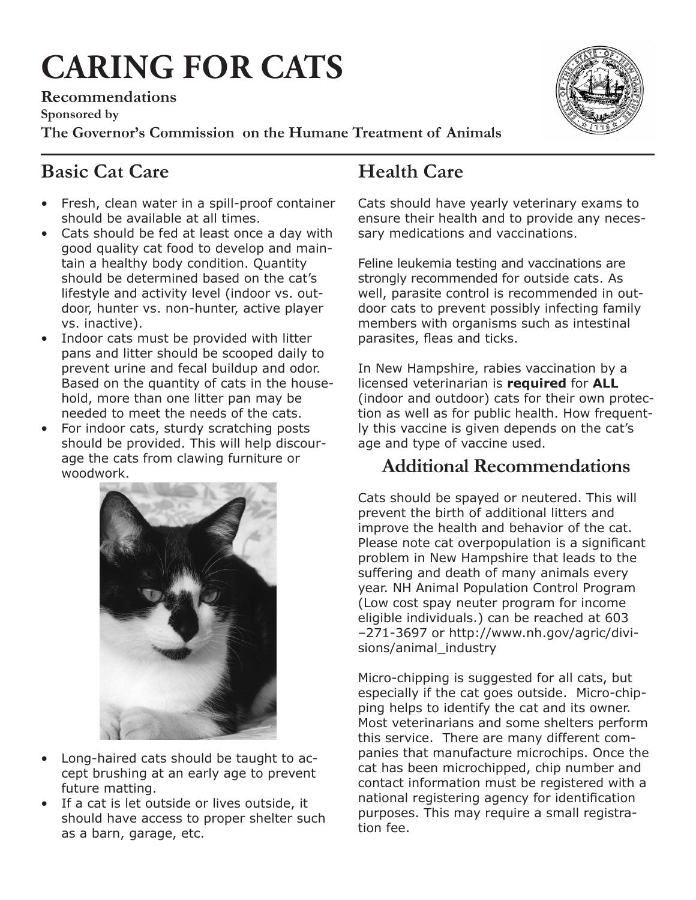# **CARING FOR CATS**

**Recommendations** 

**Sponsored by** 

**The Governor's Commission on the Humane Treatment of Animals**

# **Basic Cat Care**

- Fresh, clean water in a spill-proof container should be available at all times.
- Cats should be fed at least once a day with good quality cat food to develop and maintain a healthy body condition. Quantity should be determined based on the cat's lifestyle and activity level (indoor vs. outdoor, hunter vs. non-hunter, active player vs. inactive).
- Indoor cats must be provided with litter pans and litter should be scooped daily to prevent urine and fecal buildup and odor. Based on the quantity of cats in the household, more than one litter pan may be needed to meet the needs of the cats.
- For indoor cats, sturdy scratching posts should be provided. This will help discourage the cats from clawing furniture or woodwork.



- Long-haired cats should be taught to accept brushing at an early age to prevent future matting.
- If a cat is let outside or lives outside, it should have access to proper shelter such as a barn, garage, etc.

# **Health Care**

Cats should have yearly veterinary exams to ensure their health and to provide any necessary medications and vaccinations.

Feline leukemia testing and vaccinations are strongly recommended for outside cats. As well, parasite control is recommended in outdoor cats to prevent possibly infecting family members with organisms such as intestinal parasites, fleas and ticks.

In New Hampshire, rabies vaccination by a licensed veterinarian is **required** for **ALL** (indoor and outdoor) cats for their own protection as well as for public health. How frequently this vaccine is given depends on the cat's age and type of vaccine used.

### **Additional Recommendations**

Cats should be spayed or neutered. This will prevent the birth of additional litters and improve the health and behavior of the cat. Please note cat overpopulation is a significant problem in New Hampshire that leads to the suffering and death of many animals every year. NH Animal Population Control Program (Low cost spay neuter program for income eligible individuals.) can be reached at 603 –271-3697 or http://www.nh.gov/agric/divisions/animal\_industry

Micro-chipping is suggested for all cats, but especially if the cat goes outside. Micro-chipping helps to identify the cat and its owner. Most veterinarians and some shelters perform this service. There are many different companies that manufacture microchips. Once the cat has been microchipped, chip number and contact information must be registered with a national registering agency for identification purposes. This may require a small registration fee.